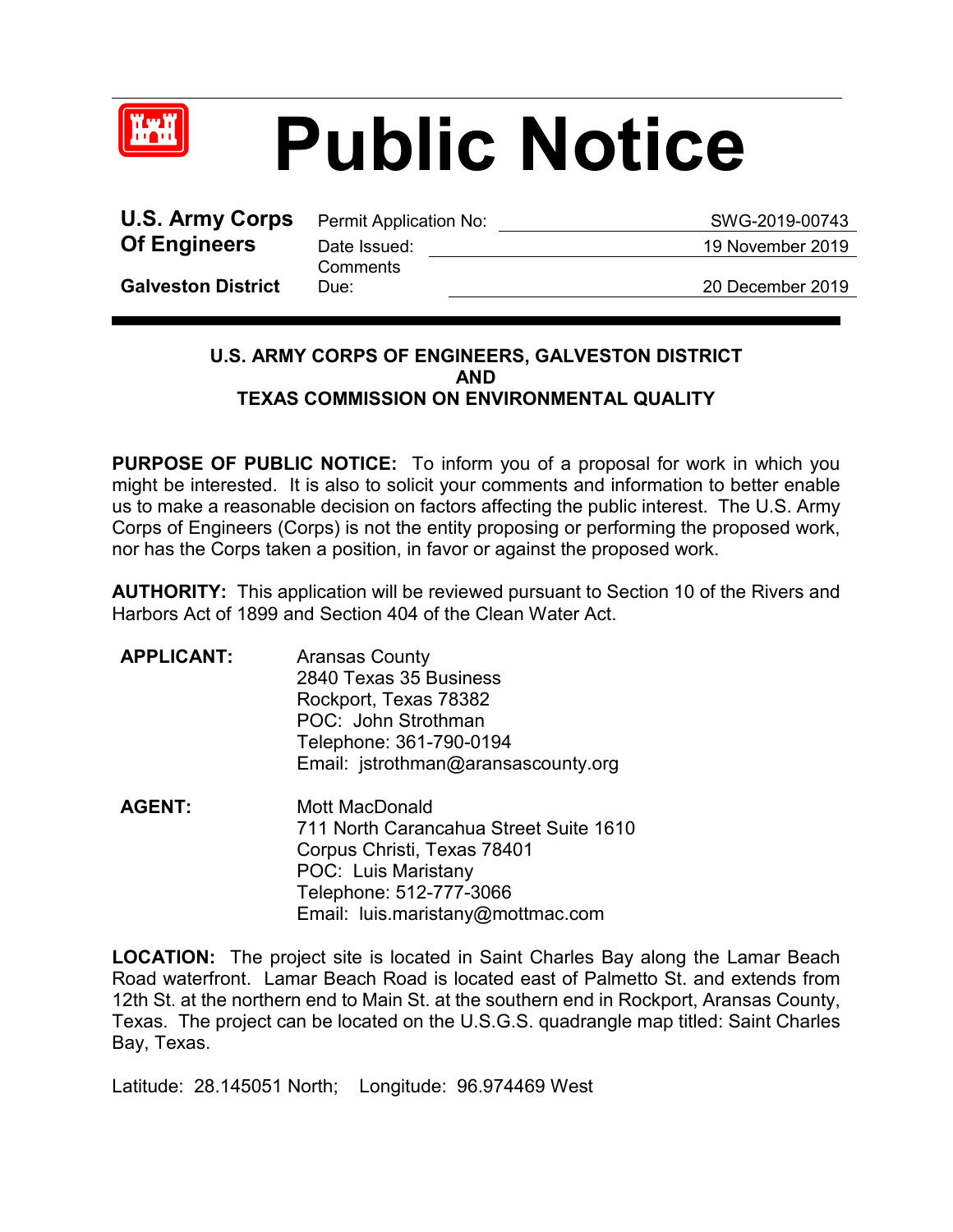

## **Public Notice**

**U.S. Army Corps** Permit Application No: SWG-2019-00743 **Of Engineers** Date Issued: 19 November 2019

**Comments** 

**Galveston District**

Due: 20 December 2019

## **U.S. ARMY CORPS OF ENGINEERS, GALVESTON DISTRICT AND TEXAS COMMISSION ON ENVIRONMENTAL QUALITY**

**PURPOSE OF PUBLIC NOTICE:** To inform you of a proposal for work in which you might be interested. It is also to solicit your comments and information to better enable us to make a reasonable decision on factors affecting the public interest. The U.S. Army Corps of Engineers (Corps) is not the entity proposing or performing the proposed work, nor has the Corps taken a position, in favor or against the proposed work.

**AUTHORITY:** This application will be reviewed pursuant to Section 10 of the Rivers and Harbors Act of 1899 and Section 404 of the Clean Water Act.

- **APPLICANT:** Aransas County 2840 Texas 35 Business Rockport, Texas 78382 POC: John Strothman Telephone: 361-790-0194 Email: jstrothman@aransascounty.org
- **AGENT:** Mott MacDonald 711 North Carancahua Street Suite 1610 Corpus Christi, Texas 78401 POC: Luis Maristany Telephone: 512-777-3066 Email: luis.maristany@mottmac.com

**LOCATION:** The project site is located in Saint Charles Bay along the Lamar Beach Road waterfront. Lamar Beach Road is located east of Palmetto St. and extends from 12th St. at the northern end to Main St. at the southern end in Rockport, Aransas County, Texas. The project can be located on the U.S.G.S. quadrangle map titled: Saint Charles Bay, Texas.

Latitude: 28.145051 North; Longitude: 96.974469 West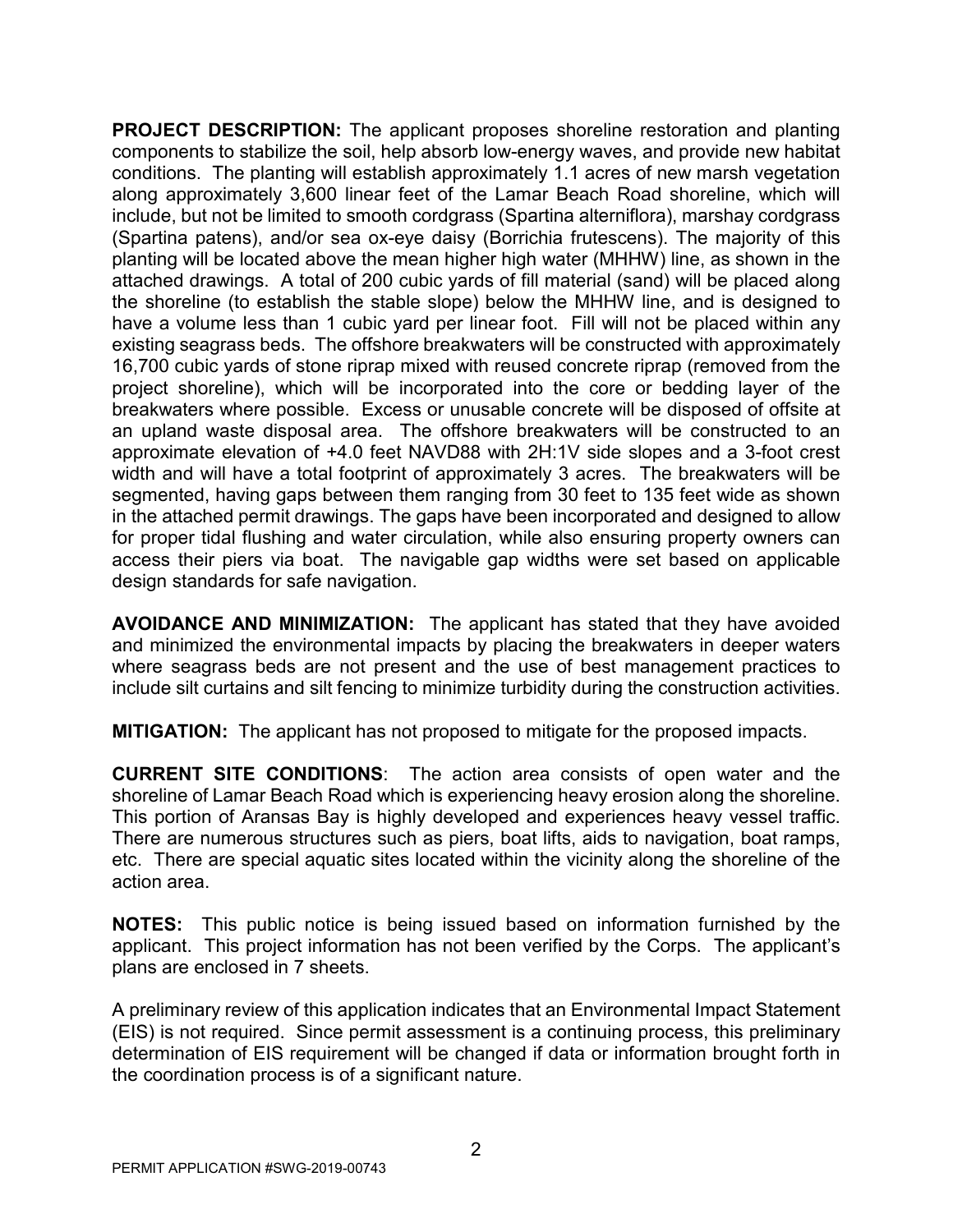**PROJECT DESCRIPTION:** The applicant proposes shoreline restoration and planting components to stabilize the soil, help absorb low-energy waves, and provide new habitat conditions. The planting will establish approximately 1.1 acres of new marsh vegetation along approximately 3,600 linear feet of the Lamar Beach Road shoreline, which will include, but not be limited to smooth cordgrass (Spartina alterniflora), marshay cordgrass (Spartina patens), and/or sea ox-eye daisy (Borrichia frutescens). The majority of this planting will be located above the mean higher high water (MHHW) line, as shown in the attached drawings. A total of 200 cubic yards of fill material (sand) will be placed along the shoreline (to establish the stable slope) below the MHHW line, and is designed to have a volume less than 1 cubic yard per linear foot. Fill will not be placed within any existing seagrass beds. The offshore breakwaters will be constructed with approximately 16,700 cubic yards of stone riprap mixed with reused concrete riprap (removed from the project shoreline), which will be incorporated into the core or bedding layer of the breakwaters where possible. Excess or unusable concrete will be disposed of offsite at an upland waste disposal area. The offshore breakwaters will be constructed to an approximate elevation of +4.0 feet NAVD88 with 2H:1V side slopes and a 3-foot crest width and will have a total footprint of approximately 3 acres. The breakwaters will be segmented, having gaps between them ranging from 30 feet to 135 feet wide as shown in the attached permit drawings. The gaps have been incorporated and designed to allow for proper tidal flushing and water circulation, while also ensuring property owners can access their piers via boat. The navigable gap widths were set based on applicable design standards for safe navigation.

**AVOIDANCE AND MINIMIZATION:** The applicant has stated that they have avoided and minimized the environmental impacts by placing the breakwaters in deeper waters where seagrass beds are not present and the use of best management practices to include silt curtains and silt fencing to minimize turbidity during the construction activities.

**MITIGATION:** The applicant has not proposed to mitigate for the proposed impacts.

**CURRENT SITE CONDITIONS**: The action area consists of open water and the shoreline of Lamar Beach Road which is experiencing heavy erosion along the shoreline. This portion of Aransas Bay is highly developed and experiences heavy vessel traffic. There are numerous structures such as piers, boat lifts, aids to navigation, boat ramps, etc. There are special aquatic sites located within the vicinity along the shoreline of the action area.

**NOTES:** This public notice is being issued based on information furnished by the applicant. This project information has not been verified by the Corps. The applicant's plans are enclosed in 7 sheets.

A preliminary review of this application indicates that an Environmental Impact Statement (EIS) is not required. Since permit assessment is a continuing process, this preliminary determination of EIS requirement will be changed if data or information brought forth in the coordination process is of a significant nature.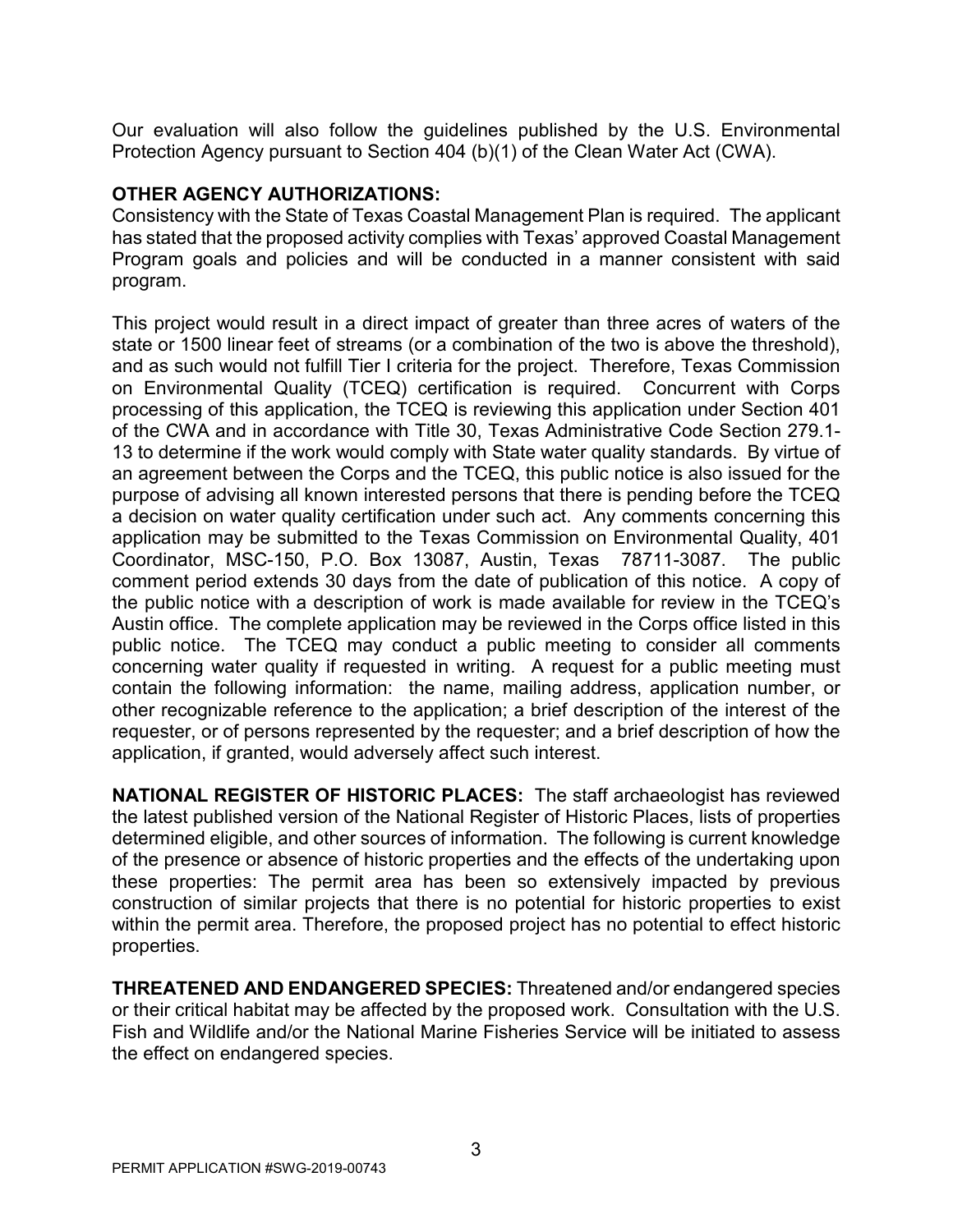Our evaluation will also follow the guidelines published by the U.S. Environmental Protection Agency pursuant to Section 404 (b)(1) of the Clean Water Act (CWA).

## **OTHER AGENCY AUTHORIZATIONS:**

Consistency with the State of Texas Coastal Management Plan is required. The applicant has stated that the proposed activity complies with Texas' approved Coastal Management Program goals and policies and will be conducted in a manner consistent with said program.

This project would result in a direct impact of greater than three acres of waters of the state or 1500 linear feet of streams (or a combination of the two is above the threshold), and as such would not fulfill Tier I criteria for the project. Therefore, Texas Commission on Environmental Quality (TCEQ) certification is required. Concurrent with Corps processing of this application, the TCEQ is reviewing this application under Section 401 of the CWA and in accordance with Title 30, Texas Administrative Code Section 279.1- 13 to determine if the work would comply with State water quality standards. By virtue of an agreement between the Corps and the TCEQ, this public notice is also issued for the purpose of advising all known interested persons that there is pending before the TCEQ a decision on water quality certification under such act. Any comments concerning this application may be submitted to the Texas Commission on Environmental Quality, 401 Coordinator, MSC-150, P.O. Box 13087, Austin, Texas 78711-3087. The public comment period extends 30 days from the date of publication of this notice. A copy of the public notice with a description of work is made available for review in the TCEQ's Austin office. The complete application may be reviewed in the Corps office listed in this public notice. The TCEQ may conduct a public meeting to consider all comments concerning water quality if requested in writing. A request for a public meeting must contain the following information: the name, mailing address, application number, or other recognizable reference to the application; a brief description of the interest of the requester, or of persons represented by the requester; and a brief description of how the application, if granted, would adversely affect such interest.

**NATIONAL REGISTER OF HISTORIC PLACES:** The staff archaeologist has reviewed the latest published version of the National Register of Historic Places, lists of properties determined eligible, and other sources of information. The following is current knowledge of the presence or absence of historic properties and the effects of the undertaking upon these properties: The permit area has been so extensively impacted by previous construction of similar projects that there is no potential for historic properties to exist within the permit area. Therefore, the proposed project has no potential to effect historic properties.

**THREATENED AND ENDANGERED SPECIES:** Threatened and/or endangered species or their critical habitat may be affected by the proposed work. Consultation with the U.S. Fish and Wildlife and/or the National Marine Fisheries Service will be initiated to assess the effect on endangered species.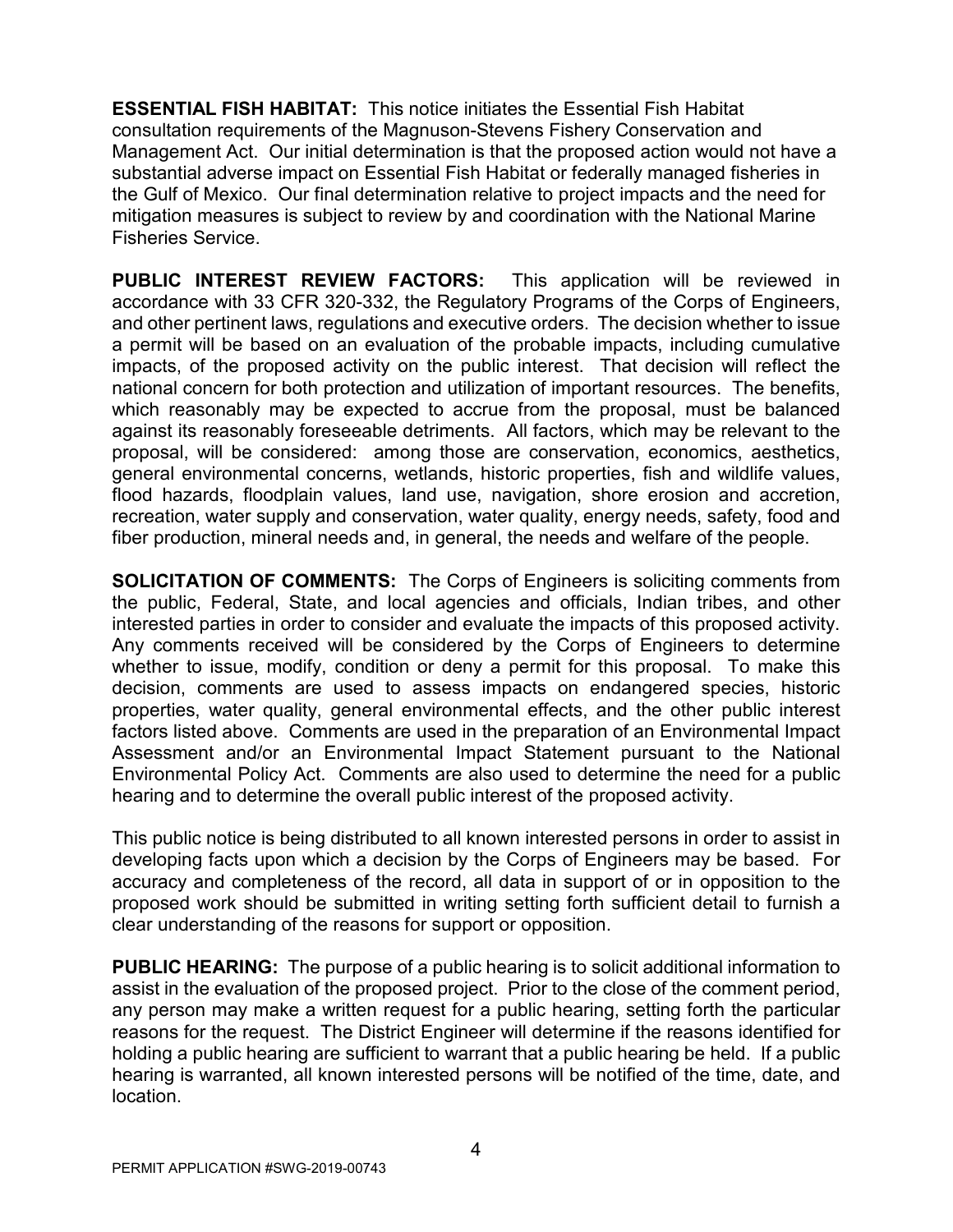**ESSENTIAL FISH HABITAT:** This notice initiates the Essential Fish Habitat consultation requirements of the Magnuson-Stevens Fishery Conservation and Management Act. Our initial determination is that the proposed action would not have a substantial adverse impact on Essential Fish Habitat or federally managed fisheries in the Gulf of Mexico. Our final determination relative to project impacts and the need for mitigation measures is subject to review by and coordination with the National Marine Fisheries Service.

**PUBLIC INTEREST REVIEW FACTORS:** This application will be reviewed in accordance with 33 CFR 320-332, the Regulatory Programs of the Corps of Engineers, and other pertinent laws, regulations and executive orders. The decision whether to issue a permit will be based on an evaluation of the probable impacts, including cumulative impacts, of the proposed activity on the public interest. That decision will reflect the national concern for both protection and utilization of important resources. The benefits, which reasonably may be expected to accrue from the proposal, must be balanced against its reasonably foreseeable detriments. All factors, which may be relevant to the proposal, will be considered: among those are conservation, economics, aesthetics, general environmental concerns, wetlands, historic properties, fish and wildlife values, flood hazards, floodplain values, land use, navigation, shore erosion and accretion, recreation, water supply and conservation, water quality, energy needs, safety, food and fiber production, mineral needs and, in general, the needs and welfare of the people.

**SOLICITATION OF COMMENTS:** The Corps of Engineers is soliciting comments from the public, Federal, State, and local agencies and officials, Indian tribes, and other interested parties in order to consider and evaluate the impacts of this proposed activity. Any comments received will be considered by the Corps of Engineers to determine whether to issue, modify, condition or deny a permit for this proposal. To make this decision, comments are used to assess impacts on endangered species, historic properties, water quality, general environmental effects, and the other public interest factors listed above. Comments are used in the preparation of an Environmental Impact Assessment and/or an Environmental Impact Statement pursuant to the National Environmental Policy Act. Comments are also used to determine the need for a public hearing and to determine the overall public interest of the proposed activity.

This public notice is being distributed to all known interested persons in order to assist in developing facts upon which a decision by the Corps of Engineers may be based. For accuracy and completeness of the record, all data in support of or in opposition to the proposed work should be submitted in writing setting forth sufficient detail to furnish a clear understanding of the reasons for support or opposition.

**PUBLIC HEARING:** The purpose of a public hearing is to solicit additional information to assist in the evaluation of the proposed project. Prior to the close of the comment period, any person may make a written request for a public hearing, setting forth the particular reasons for the request. The District Engineer will determine if the reasons identified for holding a public hearing are sufficient to warrant that a public hearing be held. If a public hearing is warranted, all known interested persons will be notified of the time, date, and location.